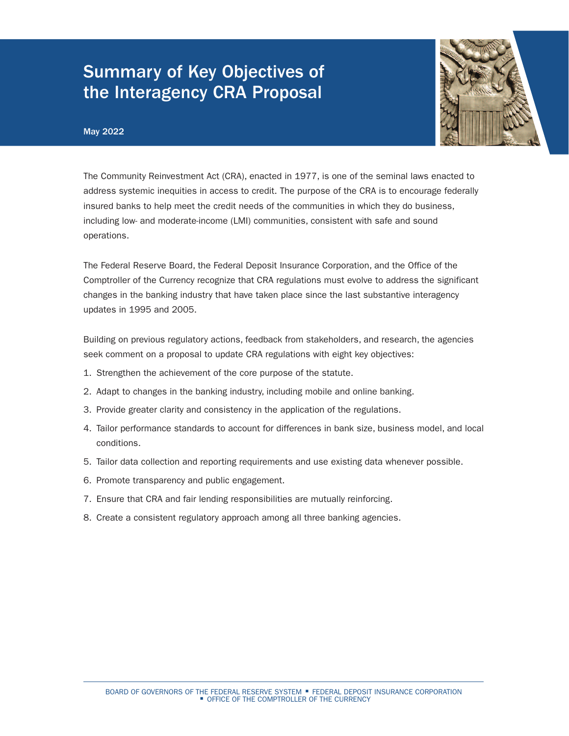# Summary of Key Objectives of the Interagency CRA Proposal

### May 2022



The Community Reinvestment Act (CRA), enacted in 1977, is one of the seminal laws enacted to address systemic inequities in access to credit. The purpose of the CRA is to encourage federally insured banks to help meet the credit needs of the communities in which they do business, including low- and moderate-income (LMI) communities, consistent with safe and sound operations.

The Federal Reserve Board, the Federal Deposit Insurance Corporation, and the Office of the Comptroller of the Currency recognize that CRA regulations must evolve to address the significant changes in the banking industry that have taken place since the last substantive interagency updates in 1995 and 2005.

Building on previous regulatory actions, feedback from stakeholders, and research, the agencies seek comment on a proposal to update CRA regulations with eight key objectives:

- 1. Strengthen the achievement of the core purpose of the statute.
- 2. Adapt to changes in the banking industry, including mobile and online banking.
- 3. Provide greater clarity and consistency in the application of the regulations.
- 4. Tailor performance standards to account for differences in bank size, business model, and local conditions.
- 5. Tailor data collection and reporting requirements and use existing data whenever possible.
- 6. Promote transparency and public engagement.
- 7. Ensure that CRA and fair lending responsibilities are mutually reinforcing.
- 8. Create a consistent regulatory approach among all three banking agencies.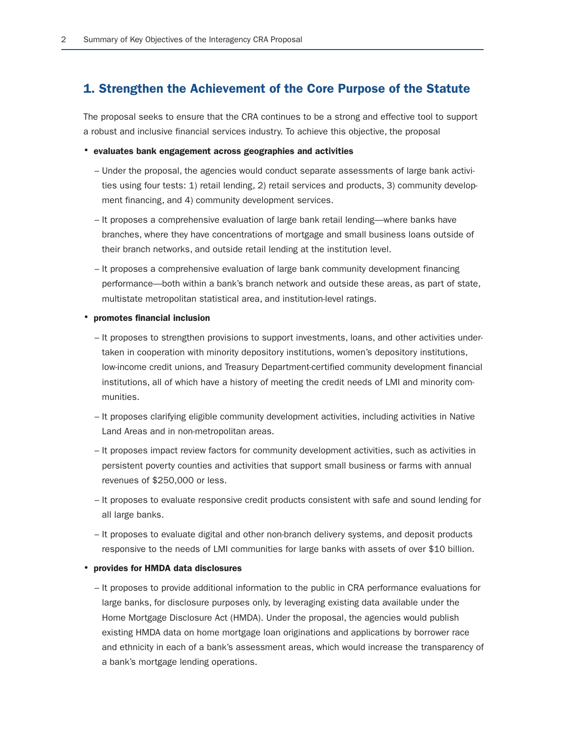## 1. Strengthen the Achievement of the Core Purpose of the Statute

The proposal seeks to ensure that the CRA continues to be a strong and effective tool to support a robust and inclusive financial services industry. To achieve this objective, the proposal

### • evaluates bank engagement across geographies and activities

- Under the proposal, the agencies would conduct separate assessments of large bank activities using four tests: 1) retail lending, 2) retail services and products, 3) community development financing, and 4) community development services.
- It proposes a comprehensive evaluation of large bank retail lending—where banks have branches, where they have concentrations of mortgage and small business loans outside of their branch networks, and outside retail lending at the institution level.
- It proposes a comprehensive evaluation of large bank community development financing performance—both within a bank's branch network and outside these areas, as part of state, multistate metropolitan statistical area, and institution-level ratings.
- promotes financial inclusion
	- It proposes to strengthen provisions to support investments, loans, and other activities undertaken in cooperation with minority depository institutions, women's depository institutions, low-income credit unions, and Treasury Department-certified community development financial institutions, all of which have a history of meeting the credit needs of LMI and minority communities.
	- It proposes clarifying eligible community development activities, including activities in Native Land Areas and in non-metropolitan areas.
	- It proposes impact review factors for community development activities, such as activities in persistent poverty counties and activities that support small business or farms with annual revenues of \$250,000 or less.
	- It proposes to evaluate responsive credit products consistent with safe and sound lending for all large banks.
	- It proposes to evaluate digital and other non-branch delivery systems, and deposit products responsive to the needs of LMI communities for large banks with assets of over \$10 billion.

#### • provides for HMDA data disclosures

– It proposes to provide additional information to the public in CRA performance evaluations for large banks, for disclosure purposes only, by leveraging existing data available under the Home Mortgage Disclosure Act (HMDA). Under the proposal, the agencies would publish existing HMDA data on home mortgage loan originations and applications by borrower race and ethnicity in each of a bank's assessment areas, which would increase the transparency of a bank's mortgage lending operations.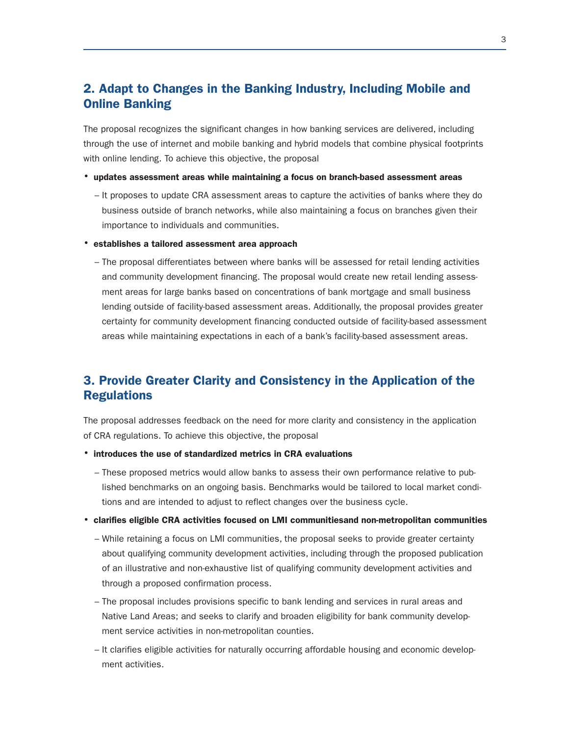# 2. Adapt to Changes in the Banking Industry, Including Mobile and Online Banking

The proposal recognizes the significant changes in how banking services are delivered, including through the use of internet and mobile banking and hybrid models that combine physical footprints with online lending. To achieve this objective, the proposal

- updates assessment areas while maintaining a focus on branch-based assessment areas
	- It proposes to update CRA assessment areas to capture the activities of banks where they do business outside of branch networks, while also maintaining a focus on branches given their importance to individuals and communities.
- establishes a tailored assessment area approach
	- The proposal differentiates between where banks will be assessed for retail lending activities and community development financing. The proposal would create new retail lending assessment areas for large banks based on concentrations of bank mortgage and small business lending outside of facility-based assessment areas. Additionally, the proposal provides greater certainty for community development financing conducted outside of facility-based assessment areas while maintaining expectations in each of a bank's facility-based assessment areas.

# 3. Provide Greater Clarity and Consistency in the Application of the Regulations

The proposal addresses feedback on the need for more clarity and consistency in the application of CRA regulations. To achieve this objective, the proposal

- introduces the use of standardized metrics in CRA evaluations
	- These proposed metrics would allow banks to assess their own performance relative to published benchmarks on an ongoing basis. Benchmarks would be tailored to local market conditions and are intended to adjust to reflect changes over the business cycle.
- clarifies eligible CRA activities focused on LMI communitiesand non-metropolitan communities
	- While retaining a focus on LMI communities, the proposal seeks to provide greater certainty about qualifying community development activities, including through the proposed publication of an illustrative and non-exhaustive list of qualifying community development activities and through a proposed confirmation process.
	- The proposal includes provisions specific to bank lending and services in rural areas and Native Land Areas; and seeks to clarify and broaden eligibility for bank community development service activities in non-metropolitan counties.
	- It clarifies eligible activities for naturally occurring affordable housing and economic development activities.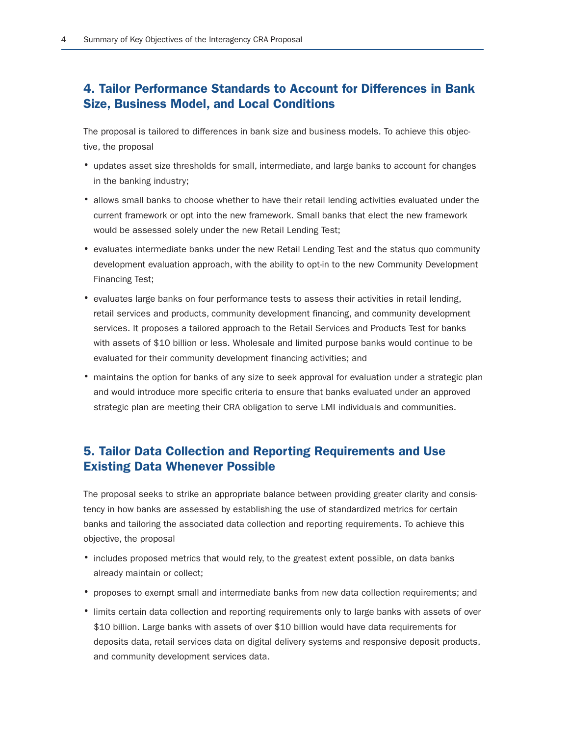# 4. Tailor Performance Standards to Account for Differences in Bank Size, Business Model, and Local Conditions

The proposal is tailored to differences in bank size and business models. To achieve this objective, the proposal

- updates asset size thresholds for small, intermediate, and large banks to account for changes in the banking industry;
- allows small banks to choose whether to have their retail lending activities evaluated under the current framework or opt into the new framework. Small banks that elect the new framework would be assessed solely under the new Retail Lending Test;
- evaluates intermediate banks under the new Retail Lending Test and the status quo community development evaluation approach, with the ability to opt-in to the new Community Development Financing Test;
- evaluates large banks on four performance tests to assess their activities in retail lending, retail services and products, community development financing, and community development services. It proposes a tailored approach to the Retail Services and Products Test for banks with assets of \$10 billion or less. Wholesale and limited purpose banks would continue to be evaluated for their community development financing activities; and
- maintains the option for banks of any size to seek approval for evaluation under a strategic plan and would introduce more specific criteria to ensure that banks evaluated under an approved strategic plan are meeting their CRA obligation to serve LMI individuals and communities.

# 5. Tailor Data Collection and Reporting Requirements and Use Existing Data Whenever Possible

The proposal seeks to strike an appropriate balance between providing greater clarity and consistency in how banks are assessed by establishing the use of standardized metrics for certain banks and tailoring the associated data collection and reporting requirements. To achieve this objective, the proposal

- includes proposed metrics that would rely, to the greatest extent possible, on data banks already maintain or collect;
- proposes to exempt small and intermediate banks from new data collection requirements; and
- limits certain data collection and reporting requirements only to large banks with assets of over \$10 billion. Large banks with assets of over \$10 billion would have data requirements for deposits data, retail services data on digital delivery systems and responsive deposit products, and community development services data.